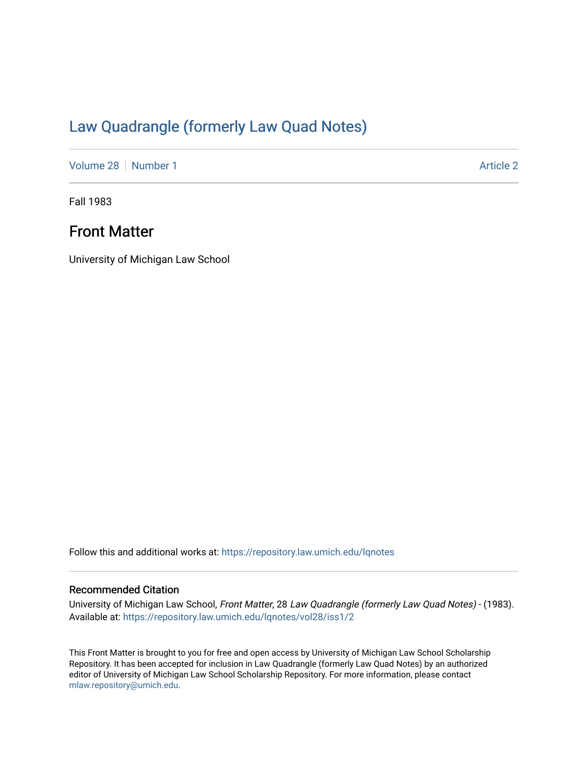# [Law Quadrangle \(formerly Law Quad Notes\)](https://repository.law.umich.edu/lqnotes)

[Volume 28](https://repository.law.umich.edu/lqnotes/vol28) [Number 1](https://repository.law.umich.edu/lqnotes/vol28/iss1) [Article 2](https://repository.law.umich.edu/lqnotes/vol28/iss1/2) Article 2

Fall 1983

# Front Matter

University of Michigan Law School

Follow this and additional works at: [https://repository.law.umich.edu/lqnotes](https://repository.law.umich.edu/lqnotes?utm_source=repository.law.umich.edu%2Flqnotes%2Fvol28%2Fiss1%2F2&utm_medium=PDF&utm_campaign=PDFCoverPages) 

#### Recommended Citation

University of Michigan Law School, Front Matter, 28 Law Quadrangle (formerly Law Quad Notes) - (1983). Available at: [https://repository.law.umich.edu/lqnotes/vol28/iss1/2](https://repository.law.umich.edu/lqnotes/vol28/iss1/2?utm_source=repository.law.umich.edu%2Flqnotes%2Fvol28%2Fiss1%2F2&utm_medium=PDF&utm_campaign=PDFCoverPages) 

This Front Matter is brought to you for free and open access by University of Michigan Law School Scholarship Repository. It has been accepted for inclusion in Law Quadrangle (formerly Law Quad Notes) by an authorized editor of University of Michigan Law School Scholarship Repository. For more information, please contact [mlaw.repository@umich.edu.](mailto:mlaw.repository@umich.edu)